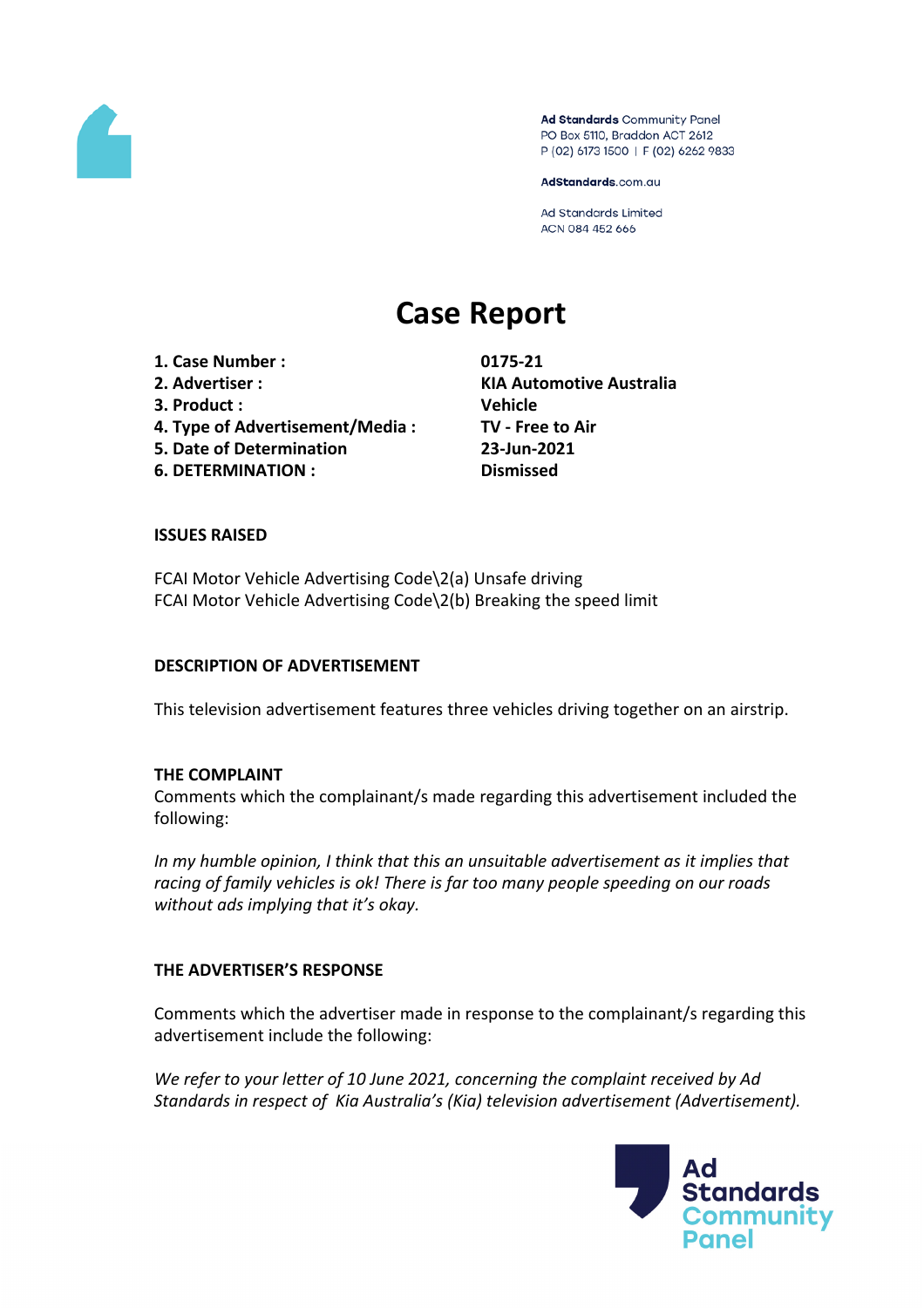

Ad Standards Community Panel PO Box 5110, Braddon ACT 2612 P (02) 6173 1500 | F (02) 6262 9833

AdStandards.com.au

Ad Standards Limited ACN 084 452 666

# **Case Report**

**1. Case Number : 0175-21 2. Advertiser : KIA Automotive Australia 3. Product : Vehicle 4. Type of Advertisement/Media : TV - Free to Air 5. Date of Determination 23-Jun-2021 6. DETERMINATION : Dismissed**

#### **ISSUES RAISED**

FCAI Motor Vehicle Advertising Code\2(a) Unsafe driving FCAI Motor Vehicle Advertising Code\2(b) Breaking the speed limit

#### **DESCRIPTION OF ADVERTISEMENT**

This television advertisement features three vehicles driving together on an airstrip.

#### **THE COMPLAINT**

Comments which the complainant/s made regarding this advertisement included the following:

*In my humble opinion, I think that this an unsuitable advertisement as it implies that racing of family vehicles is ok! There is far too many people speeding on our roads without ads implying that it's okay.*

## **THE ADVERTISER'S RESPONSE**

Comments which the advertiser made in response to the complainant/s regarding this advertisement include the following:

*We refer to your letter of 10 June 2021, concerning the complaint received by Ad Standards in respect of Kia Australia's (Kia) television advertisement (Advertisement).*

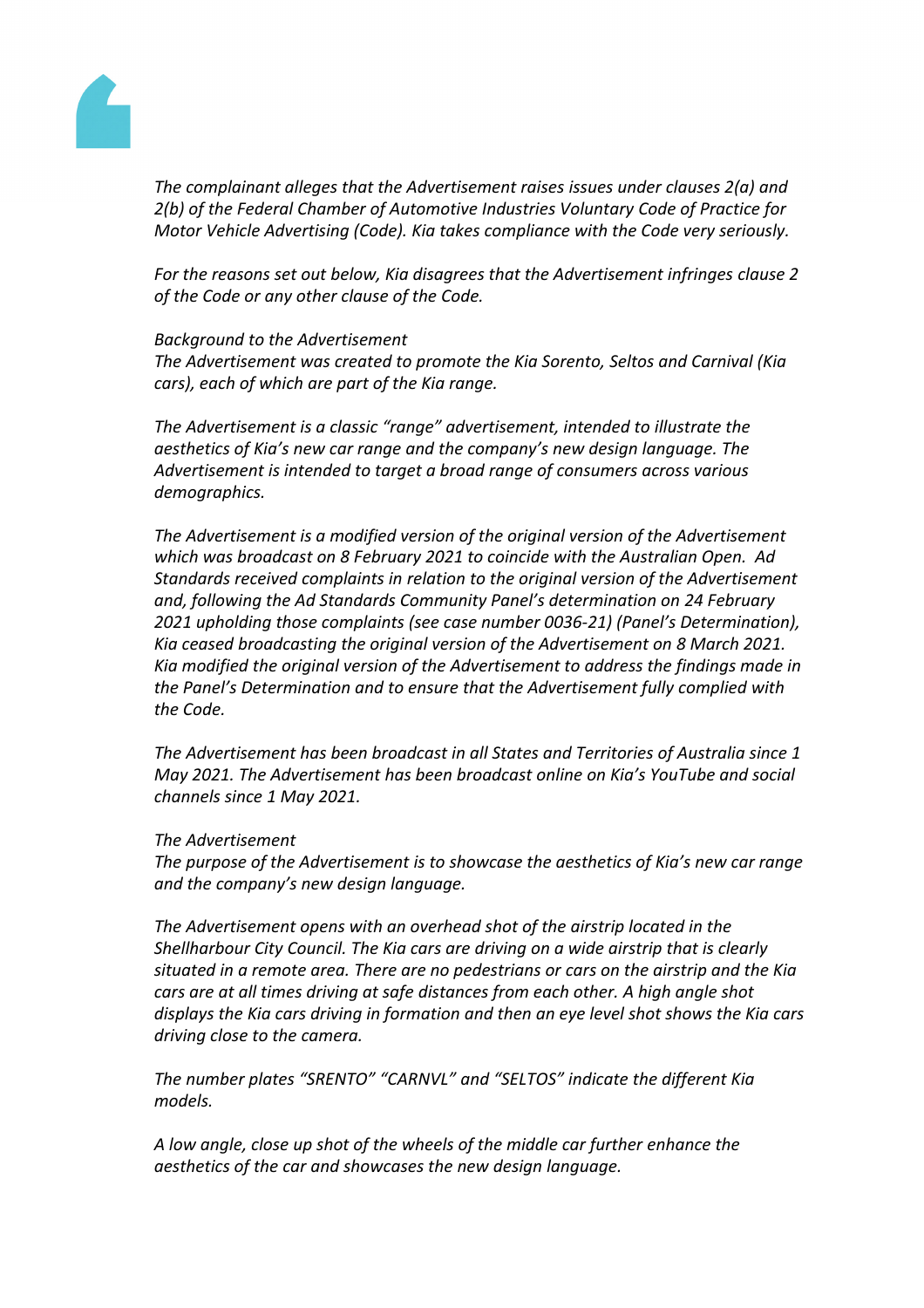

*The complainant alleges that the Advertisement raises issues under clauses 2(a) and 2(b) of the Federal Chamber of Automotive Industries Voluntary Code of Practice for Motor Vehicle Advertising (Code). Kia takes compliance with the Code very seriously.*

*For the reasons set out below, Kia disagrees that the Advertisement infringes clause 2 of the Code or any other clause of the Code.* 

#### *Background to the Advertisement*

*The Advertisement was created to promote the Kia Sorento, Seltos and Carnival (Kia cars), each of which are part of the Kia range.* 

*The Advertisement is a classic "range" advertisement, intended to illustrate the aesthetics of Kia's new car range and the company's new design language. The Advertisement is intended to target a broad range of consumers across various demographics.* 

*The Advertisement is a modified version of the original version of the Advertisement which was broadcast on 8 February 2021 to coincide with the Australian Open. Ad Standards received complaints in relation to the original version of the Advertisement and, following the Ad Standards Community Panel's determination on 24 February 2021 upholding those complaints (see case number 0036-21) (Panel's Determination), Kia ceased broadcasting the original version of the Advertisement on 8 March 2021. Kia modified the original version of the Advertisement to address the findings made in the Panel's Determination and to ensure that the Advertisement fully complied with the Code.*

*The Advertisement has been broadcast in all States and Territories of Australia since 1 May 2021. The Advertisement has been broadcast online on Kia's YouTube and social channels since 1 May 2021.*

#### *The Advertisement*

*The purpose of the Advertisement is to showcase the aesthetics of Kia's new car range and the company's new design language.*

*The Advertisement opens with an overhead shot of the airstrip located in the Shellharbour City Council. The Kia cars are driving on a wide airstrip that is clearly situated in a remote area. There are no pedestrians or cars on the airstrip and the Kia cars are at all times driving at safe distances from each other. A high angle shot displays the Kia cars driving in formation and then an eye level shot shows the Kia cars driving close to the camera.*

*The number plates "SRENTO" "CARNVL" and "SELTOS" indicate the different Kia models.*

*A low angle, close up shot of the wheels of the middle car further enhance the aesthetics of the car and showcases the new design language.*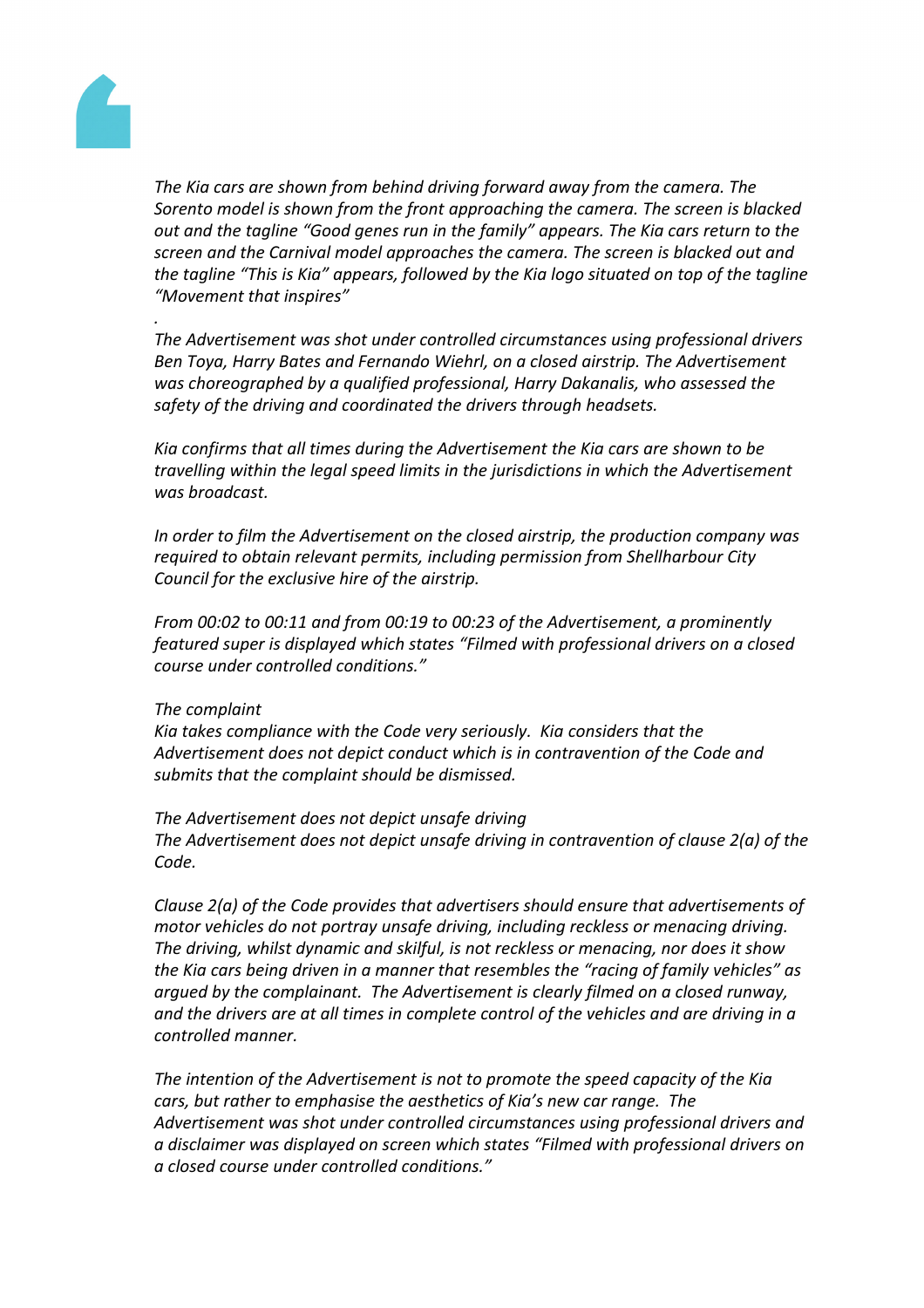

*.*

*The Kia cars are shown from behind driving forward away from the camera. The Sorento model is shown from the front approaching the camera. The screen is blacked out and the tagline "Good genes run in the family" appears. The Kia cars return to the screen and the Carnival model approaches the camera. The screen is blacked out and the tagline "This is Kia" appears, followed by the Kia logo situated on top of the tagline "Movement that inspires"*

*The Advertisement was shot under controlled circumstances using professional drivers Ben Toya, Harry Bates and Fernando Wiehrl, on a closed airstrip. The Advertisement was choreographed by a qualified professional, Harry Dakanalis, who assessed the safety of the driving and coordinated the drivers through headsets.*

*Kia confirms that all times during the Advertisement the Kia cars are shown to be travelling within the legal speed limits in the jurisdictions in which the Advertisement was broadcast.*

*In order to film the Advertisement on the closed airstrip, the production company was required to obtain relevant permits, including permission from Shellharbour City Council for the exclusive hire of the airstrip.*

*From 00:02 to 00:11 and from 00:19 to 00:23 of the Advertisement, a prominently featured super is displayed which states "Filmed with professional drivers on a closed course under controlled conditions."*

#### *The complaint*

*Kia takes compliance with the Code very seriously. Kia considers that the Advertisement does not depict conduct which is in contravention of the Code and submits that the complaint should be dismissed.*

*The Advertisement does not depict unsafe driving The Advertisement does not depict unsafe driving in contravention of clause 2(a) of the Code.*

*Clause 2(a) of the Code provides that advertisers should ensure that advertisements of motor vehicles do not portray unsafe driving, including reckless or menacing driving. The driving, whilst dynamic and skilful, is not reckless or menacing, nor does it show the Kia cars being driven in a manner that resembles the "racing of family vehicles" as argued by the complainant. The Advertisement is clearly filmed on a closed runway, and the drivers are at all times in complete control of the vehicles and are driving in a controlled manner.* 

*The intention of the Advertisement is not to promote the speed capacity of the Kia cars, but rather to emphasise the aesthetics of Kia's new car range. The Advertisement was shot under controlled circumstances using professional drivers and a disclaimer was displayed on screen which states "Filmed with professional drivers on a closed course under controlled conditions."*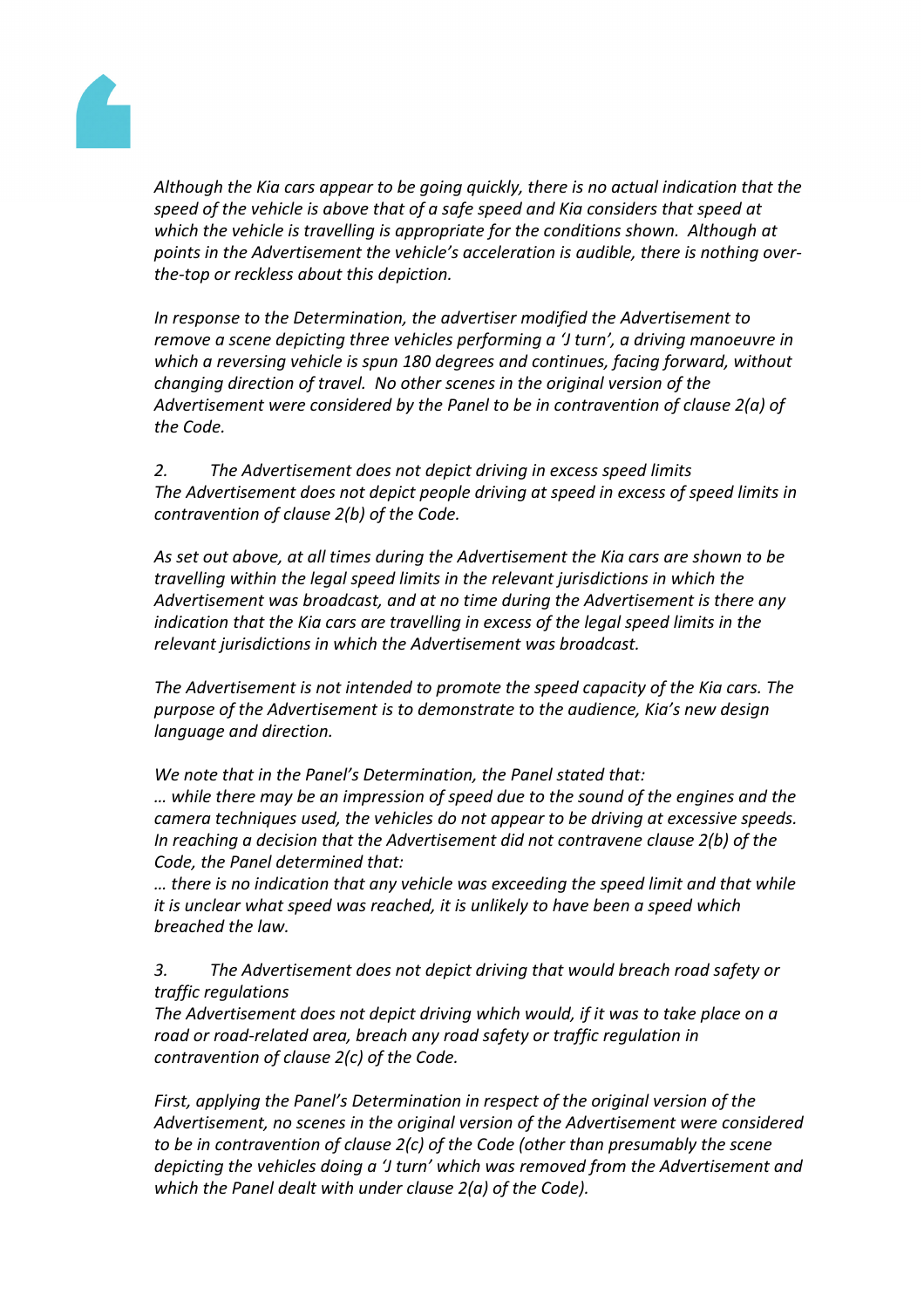

*Although the Kia cars appear to be going quickly, there is no actual indication that the speed of the vehicle is above that of a safe speed and Kia considers that speed at which the vehicle is travelling is appropriate for the conditions shown. Although at points in the Advertisement the vehicle's acceleration is audible, there is nothing overthe-top or reckless about this depiction.*

*In response to the Determination, the advertiser modified the Advertisement to remove a scene depicting three vehicles performing a 'J turn', a driving manoeuvre in which a reversing vehicle is spun 180 degrees and continues, facing forward, without changing direction of travel. No other scenes in the original version of the Advertisement were considered by the Panel to be in contravention of clause 2(a) of the Code.*

*2. The Advertisement does not depict driving in excess speed limits The Advertisement does not depict people driving at speed in excess of speed limits in contravention of clause 2(b) of the Code.*

*As set out above, at all times during the Advertisement the Kia cars are shown to be travelling within the legal speed limits in the relevant jurisdictions in which the Advertisement was broadcast, and at no time during the Advertisement is there any indication that the Kia cars are travelling in excess of the legal speed limits in the relevant jurisdictions in which the Advertisement was broadcast.*

*The Advertisement is not intended to promote the speed capacity of the Kia cars. The purpose of the Advertisement is to demonstrate to the audience, Kia's new design language and direction.*

*We note that in the Panel's Determination, the Panel stated that: … while there may be an impression of speed due to the sound of the engines and the camera techniques used, the vehicles do not appear to be driving at excessive speeds. In reaching a decision that the Advertisement did not contravene clause 2(b) of the*

*Code, the Panel determined that:*

*… there is no indication that any vehicle was exceeding the speed limit and that while it is unclear what speed was reached, it is unlikely to have been a speed which breached the law.*

*3. The Advertisement does not depict driving that would breach road safety or traffic regulations*

*The Advertisement does not depict driving which would, if it was to take place on a road or road-related area, breach any road safety or traffic regulation in contravention of clause 2(c) of the Code.*

*First, applying the Panel's Determination in respect of the original version of the Advertisement, no scenes in the original version of the Advertisement were considered to be in contravention of clause 2(c) of the Code (other than presumably the scene depicting the vehicles doing a 'J turn' which was removed from the Advertisement and which the Panel dealt with under clause 2(a) of the Code).*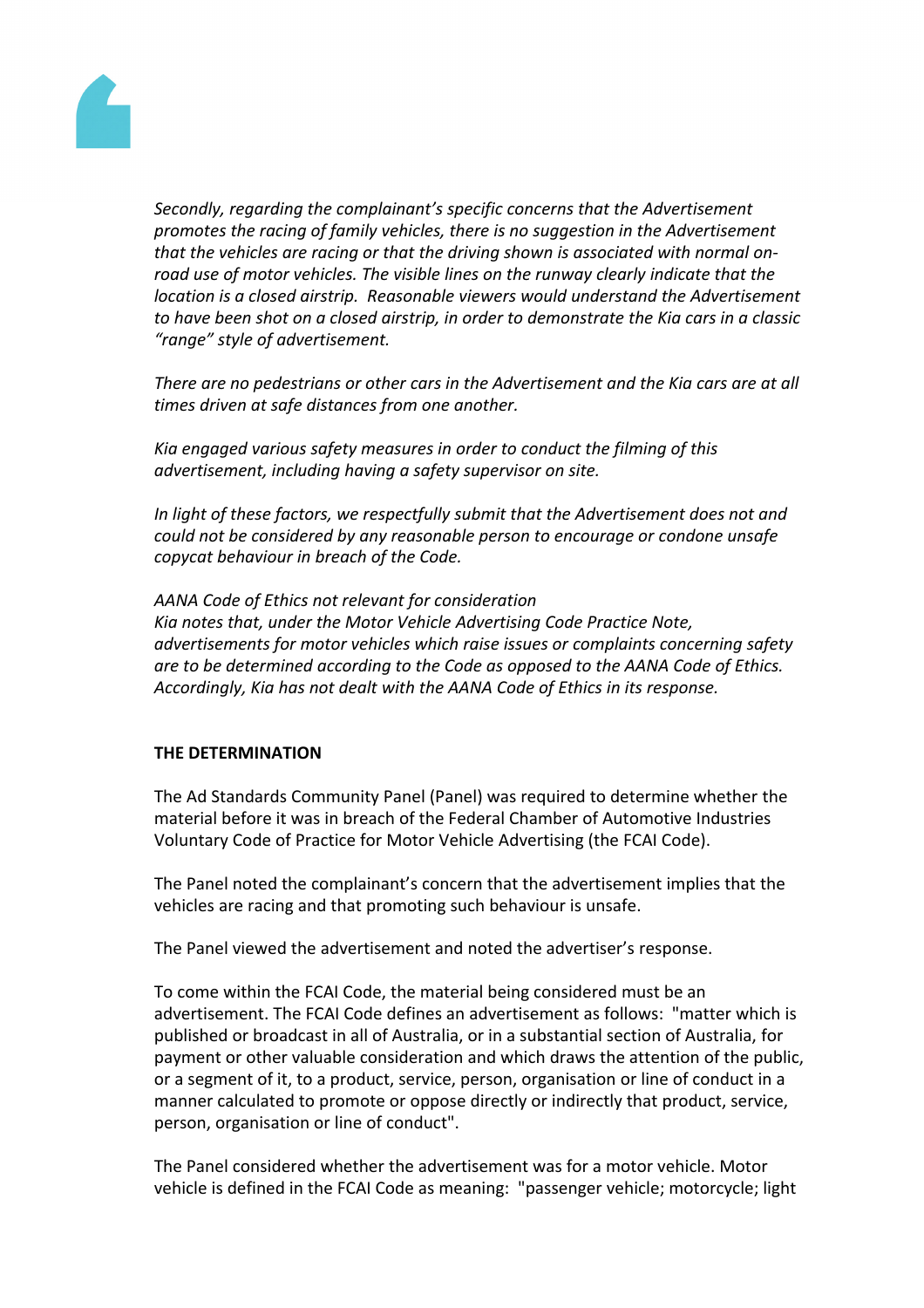

*Secondly, regarding the complainant's specific concerns that the Advertisement promotes the racing of family vehicles, there is no suggestion in the Advertisement that the vehicles are racing or that the driving shown is associated with normal onroad use of motor vehicles. The visible lines on the runway clearly indicate that the location is a closed airstrip. Reasonable viewers would understand the Advertisement to have been shot on a closed airstrip, in order to demonstrate the Kia cars in a classic "range" style of advertisement.*

*There are no pedestrians or other cars in the Advertisement and the Kia cars are at all times driven at safe distances from one another.*

*Kia engaged various safety measures in order to conduct the filming of this advertisement, including having a safety supervisor on site.* 

*In light of these factors, we respectfully submit that the Advertisement does not and could not be considered by any reasonable person to encourage or condone unsafe copycat behaviour in breach of the Code.* 

*AANA Code of Ethics not relevant for consideration Kia notes that, under the Motor Vehicle Advertising Code Practice Note, advertisements for motor vehicles which raise issues or complaints concerning safety are to be determined according to the Code as opposed to the AANA Code of Ethics. Accordingly, Kia has not dealt with the AANA Code of Ethics in its response.*

#### **THE DETERMINATION**

The Ad Standards Community Panel (Panel) was required to determine whether the material before it was in breach of the Federal Chamber of Automotive Industries Voluntary Code of Practice for Motor Vehicle Advertising (the FCAI Code).

The Panel noted the complainant's concern that the advertisement implies that the vehicles are racing and that promoting such behaviour is unsafe.

The Panel viewed the advertisement and noted the advertiser's response.

To come within the FCAI Code, the material being considered must be an advertisement. The FCAI Code defines an advertisement as follows: "matter which is published or broadcast in all of Australia, or in a substantial section of Australia, for payment or other valuable consideration and which draws the attention of the public, or a segment of it, to a product, service, person, organisation or line of conduct in a manner calculated to promote or oppose directly or indirectly that product, service, person, organisation or line of conduct".

The Panel considered whether the advertisement was for a motor vehicle. Motor vehicle is defined in the FCAI Code as meaning: "passenger vehicle; motorcycle; light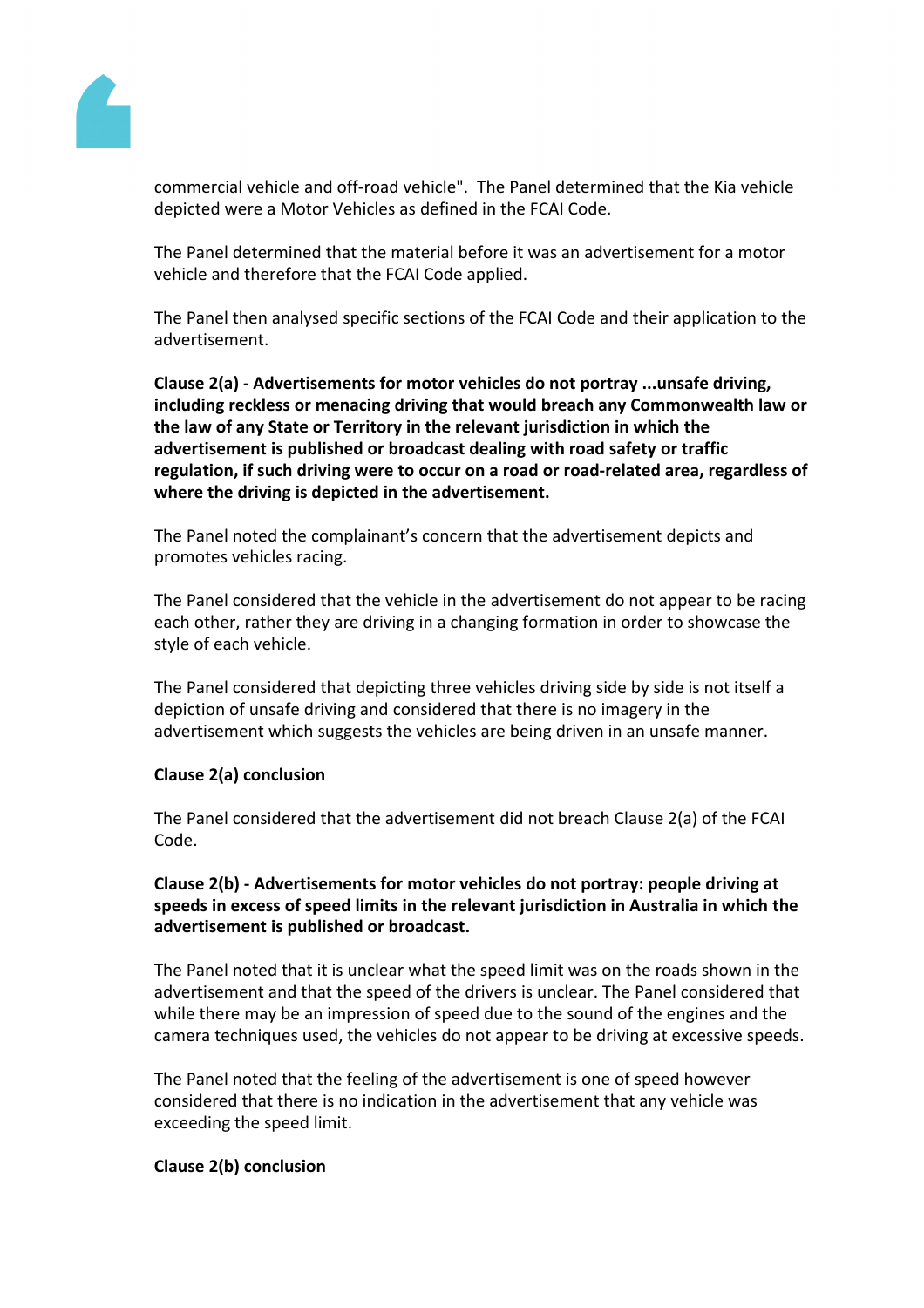

commercial vehicle and off-road vehicle". The Panel determined that the Kia vehicle depicted were a Motor Vehicles as defined in the FCAI Code.

The Panel determined that the material before it was an advertisement for a motor vehicle and therefore that the FCAI Code applied.

The Panel then analysed specific sections of the FCAI Code and their application to the advertisement.

**Clause 2(a) - Advertisements for motor vehicles do not portray ...unsafe driving, including reckless or menacing driving that would breach any Commonwealth law or the law of any State or Territory in the relevant jurisdiction in which the advertisement is published or broadcast dealing with road safety or traffic regulation, if such driving were to occur on a road or road-related area, regardless of where the driving is depicted in the advertisement.**

The Panel noted the complainant's concern that the advertisement depicts and promotes vehicles racing.

The Panel considered that the vehicle in the advertisement do not appear to be racing each other, rather they are driving in a changing formation in order to showcase the style of each vehicle.

The Panel considered that depicting three vehicles driving side by side is not itself a depiction of unsafe driving and considered that there is no imagery in the advertisement which suggests the vehicles are being driven in an unsafe manner.

#### **Clause 2(a) conclusion**

The Panel considered that the advertisement did not breach Clause 2(a) of the FCAI Code.

### **Clause 2(b) - Advertisements for motor vehicles do not portray: people driving at speeds in excess of speed limits in the relevant jurisdiction in Australia in which the advertisement is published or broadcast.**

The Panel noted that it is unclear what the speed limit was on the roads shown in the advertisement and that the speed of the drivers is unclear. The Panel considered that while there may be an impression of speed due to the sound of the engines and the camera techniques used, the vehicles do not appear to be driving at excessive speeds.

The Panel noted that the feeling of the advertisement is one of speed however considered that there is no indication in the advertisement that any vehicle was exceeding the speed limit.

#### **Clause 2(b) conclusion**